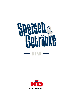# **Speisen au**  $-\blacksquare$  menu  $-\blacksquare$

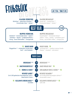## FrühstillK

#### bis 11 Uhr / Until 11 a.m.

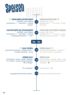## Speisen

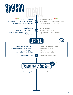## Speisen

#### OO PASTA ARRABBIATA Tortiglioni Pasta AGC · Chili-Tomatensauce 114

Parmesankäse GH · Kresse Mischung

 $10-50$ 

#### PASTA ARRABBIATA  $\odot$

Tortiglioni Pasta AGC · chili and tomato sauce 114 Parmesan cheese GH · cress mixture

#### **BACKHÄHNCHEN**

Keulenfleisch in der Panade ACG Kartoffelsalat angerührt mit Rucola 11GH14 Rettichkresse

#### **BAKED CHICKEN**

leg meat in breadcrumps ACG potato salad mixed with rocket leaves 11GH14 radish cress

#### **BEST DEAL**

**14.90)** 



#### SCHNITZEL "WIENER ART"

Schweinefleischschnitzel gebacken ACG **Pommes Frites** Mayonnaise<sup>1C</sup> oder Ketchup<sup>1</sup>

SCHNITZEL "VIENNA STYLE" breaded pork schnitzel ACG french fries ketchup ' or mayonnaise<sup>1C)</sup>

Portion Jägersauce GH3



portion of mushroom sauce GH3

 $\textcircled{\footnotesize{1}}$ 

 $6,00$ Beilagensalat / Side Salad

mit Limetten-Kräutervinaigrette L

with lime and herb vinaigrette L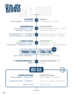### Kid's Menu Kinder

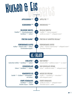## Desserts Kuchen & Eis



Vanilleeis 1CG · Sahne G Schoko-Sauce G · Waffel

5,80

chocolate sauce  $G \cdot$  wafer

5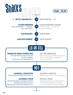

#### BESUCHEN SIE UNSERE FREIDECK-THEKE

Wir haben diverse Sorten Eis am Stiel für Sie im Angebot. Suchen Sie sich Ihr Lieblingseis aus!

#### **VISIT OUR SUNDECK BAR**

Please come to our sundeck bar to choose from our wide selection of popsicles. Enjoy your favourite!

#### ALLERGENE & ZUSATZSTOFFE

Alle Informationen finden Sie auf Seite 12.

#### LEISTUNGEN & PREISE

Alle gastronomischen Leistungen im Namen und Auftrag der KD Europe S.à r.l. Alle genannten Preise sind Endpreise in Euro.

#### **ALLERGENS & ADDITIVES**

Please see page 12 for further information.

#### **SERVICES & PRICES**

All catering services are carried out for and on behalf of KD Europe S.à r.l. All prices in Euro including VAT and service charges.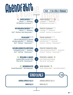## **APGUDE SPLA**

#### 20.00 - 22.00 in Köln & Düsseldorf

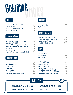| Gerolsteiner Mineralwasser (0,251) | 2,60 |
|------------------------------------|------|
| Gerolsteiner Still (0,25 l)        | 2,60 |
| Gerolsteiner Mineralwasser (0,751) | 6,50 |
| Gerolsteiner Still (0,75 l)        | 6,50 |

#### Limonade & Säfte ..

| Coca-Cola, Coca-Cola Zero <sup>129</sup> (0,201)   | 2,80 |
|----------------------------------------------------|------|
| Fanta, Sprite <sup>12</sup> (0,201)                | 2,80 |
| Granini Apfel- & Orangensaft <sup>13</sup> (0,201) | 3,00 |
| Schweppes Tonic & Bitter Lemon 310 (0,201)         | 3,00 |
| Fassbrause <sup>A</sup> (0,331)                    | 3,60 |
| Red Bull <sup>14</sup> (0,251)                     | 4,50 |
| Oppacher Apfel- & Rhabarberschorle 3 (0,50 l)      | 5,10 |

#### Heißse Getränke ..

| Kaffee / Espresso                 | 2,50 |
|-----------------------------------|------|
| Entkoffeinierter Kaffee           | 3,10 |
| Cappuccino <sup>G9</sup>          | 3,10 |
| Milchkaffee G9                    | 3,30 |
| Latte Macchiato <sup>G9</sup>     | 3,90 |
| Heiße Schokolade G                | 3,10 |
| Althaus Tee (verschiedene Sorten) | 3,10 |

#### Wasser Aperities

| Aperol Spritz $L_1(0,2)$ | 7,50 |
|--------------------------|------|
| Hugo $L(0,2)$            | 7,50 |

#### Sekt & CHampagner

| Vinicola Frizzante Bianco <sup>L</sup> (0,75 l)     | 21,00  |
|-----------------------------------------------------|--------|
| Riesling Sekt <sup>L</sup> , extra trocken (0,75 l) | 24,90  |
| Piccolo <sup>L</sup> , trocken (0,20 l)             | 7.50   |
| Moet & Chandon Brut $(0.751)$                       | 105,00 |



| <b>Frisch vom Fass:</b><br>Sion Kölsch $(0,20)$<br>Jever Pilsener A (0,251) | 2,30<br>3,00 |
|-----------------------------------------------------------------------------|--------------|
| <b>Flaschenbiere:</b>                                                       |              |
| Sion Kölsch $(A(0,33))$                                                     | 3,60         |
| Schlösser Alt <sup>A</sup> (0,331)                                          | 3,60         |
| Jever Pilsener A (0,331)                                                    | 3,60         |
| Jever Fun alkoholfrei A (0,331)                                             | 3,60         |
| Schöfferhofer Grapefruit <sup>A</sup> (0,331)                               | 3,60         |
| Schöfferhofer Weizenbier hell A (0,50 l)                                    | 5,00         |
| Schöfferhofer Weizenbier alkoholfrei A (0,50 l)                             | 5,00         |

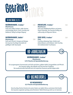#### Offene Weine (0,25 l)

#### WEIBBURGUNDER, trocken<sup>1</sup> **Rheinhessen**

Duft nach süßen Quitten, reifer Ananas und knackiger Birne. Frisch, fruchtig und belebend. Saftig fruchtiger Abgang.

#### WEIBBURGUNDER, lieblich L

**Rheinhessen** Duft nach Pfirsich, Orange und Mango. Am Gaumen fruchtige Aromatik mit gefälligem Süß-Säurespiel.

7,50

#### DORNFELDER, trocken<sup>1</sup> **Rheinhessen**

Duft nach Waldbeerkonfitüre und einem Hauch Holunder. Am Gaumen kräftig und vollmundig mit filigraner Würze.

#### ROSÉ CUVÉE, trocken L

**Pfalz** 7,50

> Fruchtig rotbeerige Nase. Duftet nach Johannisbeere und Erdbeere. Sehr fruchtig mit vitalisierender Fruchtsäure.



Ein ausgewogener Sommerwein mit Duft nach Birne, gelbem Apfel, Orangenblüte und Pfirsich. Am Gaumen saftig, sehr lebhaft und mit enormen Trinkfluss. Der ausdrucksvolle Nachhall wird mit tropischen Nuancen perfekt abgerundet.

KD WEINSCHORLE



7,50

7,50

#### KD WEINSCHORLE L **0,5 l Flasche mit Spezialetikettierung**

Eine fruchtig-frische Schorle mit zarten Noten von Apfel, Ztitrus und einem Kick Exotik. Am Gaumen ungemein spritzig und erfrischend. Tolle Erfrischung nicht nur im Sommer.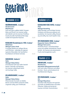#### Weissweine (0,75 l)

#### WEIBBURGUNDER, trocken<sup>1</sup>

**KD Jahreswein Rheinhessen**

Duft nach Birne, gelbem Apfel, Orangenblüte und Pfirsich. Am Gaumen saftig, sehr lebhaft und mit enormen Trinkfluss. Ausdrucksvoller Nachhall perfekt abgerundet mit tropischen Nuancen.

21,00

#### RIESELING Rheinkilometer 550, trocken L **Mittelrhein**

#### **Weingut Lanius-Knab**

Fruchtiges Bukett aus saftigen Birnen und Pfirsichen. Lebendig mit regionaltypischer Mineralität. Der Nachhall ist fruchtbetont mit feinem Schmelz.

25,50

24,00

25,00

#### SCHEUREBE, feinherb<sup>1</sup> **Nahe**

**Weingut Tobias Rickes**

Aromatischer Duft nach reifen Stachelbeeren, Holunder und Aprikose. Am Gaumen unbeschwert leicht mit fruchtiger Süße.

#### GRAUBURGUNDER, trocken<sup>1</sup>

10

**Nahe Weingut Tobias Rickes** Phänomenale Aromatik von Äpfeln, Birnen und eine Reihe exotischer Düfte. Ungemein saftig, pure Trinkfreude.

#### Roséweine (0,75 l)

#### KESSELRING ROSÉ CUVÉE trocken<sup>1</sup> **Pfalz**

#### **Weingut Kesselring**

Voller blumiger und fruchtiger Aromen. Himbeere und Maracuja ergänzen sich wunderbar. Am Gaumen saftig, feinwürzig und süffig. Das macht Spaß im Glas.

21,00

#### SPÄTBURGUNDER ROSÉ, trocken<sup>1</sup> **Bopparder Hamm, Mittelrhein Weingut Toni Lorenz**

Herrliches Kirsch- und Johannisbeeraroma mit subtiler mineralischer Charakteristik. Am Gaumen eine akzentuierte Frucht, die ihresgleichen sucht.

27,50

#### Rotweine (0,75 l)

#### DORNFELDER, trocken<sup>1</sup> **Rheinhessen Niersteiner Winzergenossenschaft**

Duft nach reifen Pflaumen und süßen Kirschen. Rund, zartschmelzend mit fruchtbetontem Abgang.

19,00

#### SPÄTBURGUNDER, trocken<sup>1</sup> **Ahr**

#### **Weingut Mayschoss**

Charaktervoller Rotwein mit typischer Aromatik von Waldfrüchten und reifen Pflaumen. Saftig und würzig am Gaumen mit feiner Tanninstruktur.

28,00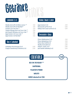#### Longdrinks (5 (I)

| Wodka Smirnoff mit Bitter Lemon 310                | 7,50 |
|----------------------------------------------------|------|
| Wodka Smirnoff mit Red Bull <sup>14</sup>          | 7.50 |
| Gordon's Gin mit Tonic <sup>10</sup>               | 7,50 |
| Captain Morgan Rum mit Coca-Cola <sup>129</sup>    | 7,50 |
| Jack Daniel's Whiskey mit Coca-Cola <sup>129</sup> | 7,50 |
| Jägermeister mit Coca-Cola <sup>129</sup>          | 7.50 |
| Jägermeister mit Red Bull <sup>14</sup>            | 7,50 |

#### Obst & Edelbrände ..

| Schladerer Kirschwasser (2 cl)     | 2,80 |
|------------------------------------|------|
| Grappa Chardonnay Di Nonino (2 cl) | 2,80 |

#### Krauter, Bitter & Liköre .. ..

| Jägermeister (2 cl)<br>Ramazzotti auf Eis (4 cl)    | 2,50<br>5,00 |
|-----------------------------------------------------|--------------|
| Baileys Irish Cream auf Eis (4 cl)                  | 5,00         |
|                                                     |              |
| Spirituosen & Suots                                 |              |
|                                                     |              |
| Flimm Waldmeister (2 cl)<br>Flimm Bärbelchen (2 cl) | 2,50<br>2,50 |
| Flimm Klar Schiff (2 cl)                            | 2,50         |
| Wodka Smirnoff (2 cl)                               | 2,80         |
| Asbach "Uralt" (2 cl)                               | 2,80         |
| Jack Daniel's Whiskey (4 cl)                        | 5.00         |